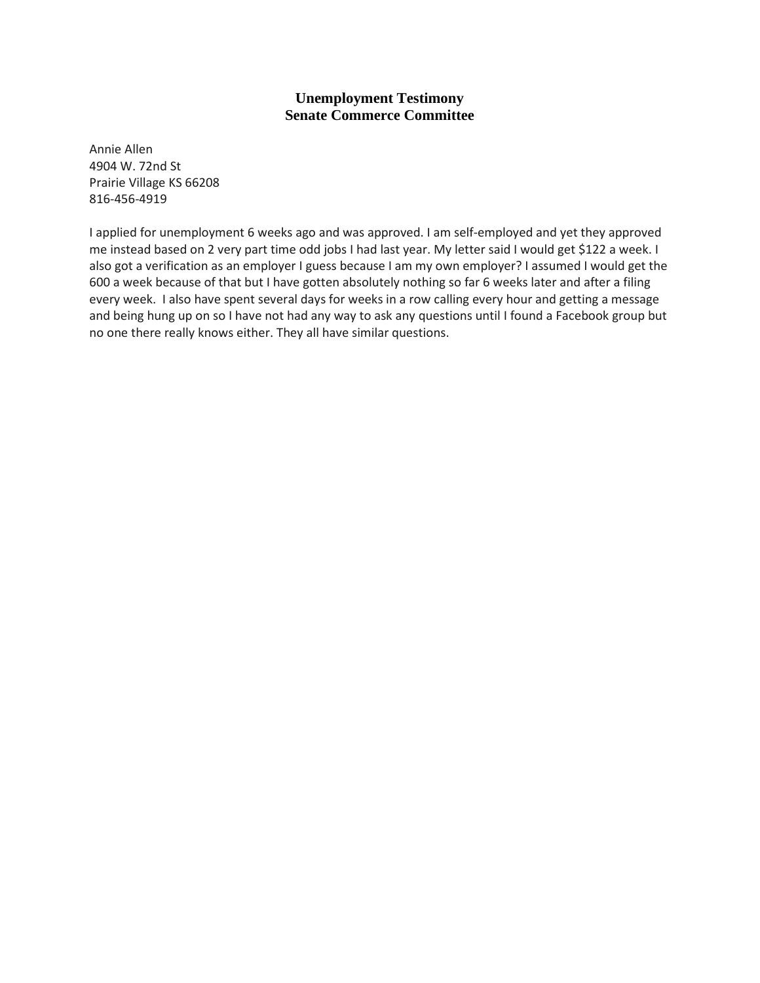Annie Allen 4904 W. 72nd St Prairie Village KS 66208 816-456-4919

I applied for unemployment 6 weeks ago and was approved. I am self-employed and yet they approved me instead based on 2 very part time odd jobs I had last year. My letter said I would get \$122 a week. I also got a verification as an employer I guess because I am my own employer? I assumed I would get the 600 a week because of that but I have gotten absolutely nothing so far 6 weeks later and after a filing every week. I also have spent several days for weeks in a row calling every hour and getting a message and being hung up on so I have not had any way to ask any questions until I found a Facebook group but no one there really knows either. They all have similar questions.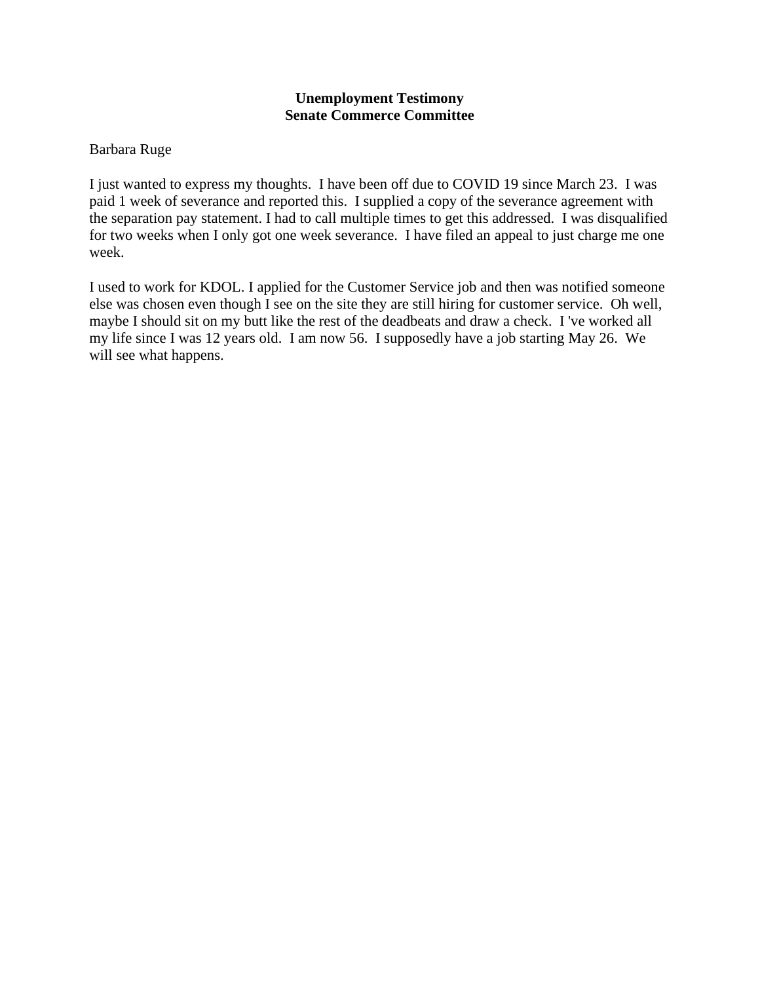# Barbara Ruge

I just wanted to express my thoughts. I have been off due to COVID 19 since March 23. I was paid 1 week of severance and reported this. I supplied a copy of the severance agreement with the separation pay statement. I had to call multiple times to get this addressed. I was disqualified for two weeks when I only got one week severance. I have filed an appeal to just charge me one week.

I used to work for KDOL. I applied for the Customer Service job and then was notified someone else was chosen even though I see on the site they are still hiring for customer service. Oh well, maybe I should sit on my butt like the rest of the deadbeats and draw a check. I 've worked all my life since I was 12 years old. I am now 56. I supposedly have a job starting May 26. We will see what happens.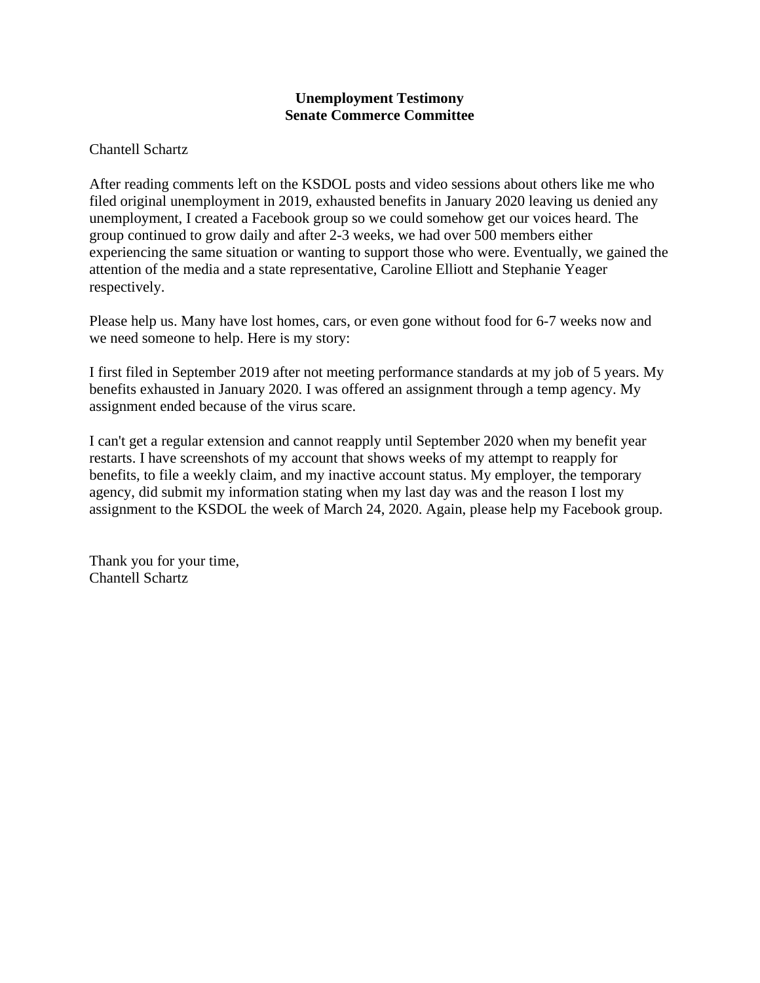# Chantell Schartz

After reading comments left on the KSDOL posts and video sessions about others like me who filed original unemployment in 2019, exhausted benefits in January 2020 leaving us denied any unemployment, I created a Facebook group so we could somehow get our voices heard. The group continued to grow daily and after 2-3 weeks, we had over 500 members either experiencing the same situation or wanting to support those who were. Eventually, we gained the attention of the media and a state representative, Caroline Elliott and Stephanie Yeager respectively.

Please help us. Many have lost homes, cars, or even gone without food for 6-7 weeks now and we need someone to help. Here is my story:

I first filed in September 2019 after not meeting performance standards at my job of 5 years. My benefits exhausted in January 2020. I was offered an assignment through a temp agency. My assignment ended because of the virus scare.

I can't get a regular extension and cannot reapply until September 2020 when my benefit year restarts. I have screenshots of my account that shows weeks of my attempt to reapply for benefits, to file a weekly claim, and my inactive account status. My employer, the temporary agency, did submit my information stating when my last day was and the reason I lost my assignment to the KSDOL the week of March 24, 2020. Again, please help my Facebook group.

Thank you for your time, Chantell Schartz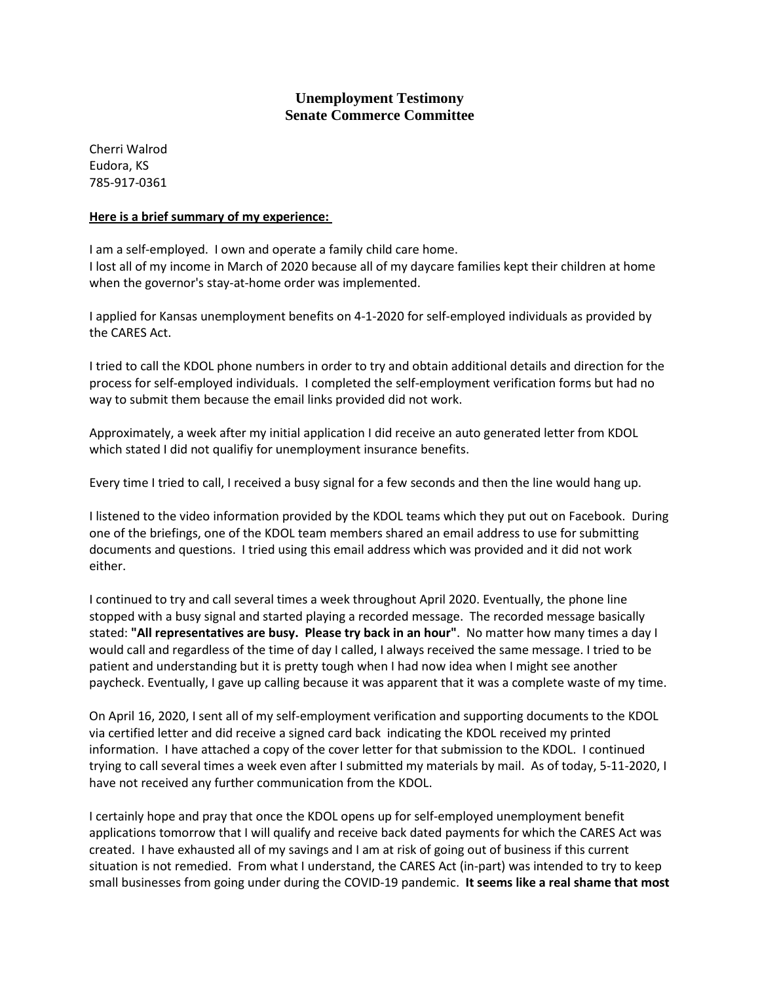Cherri Walrod Eudora, KS 785-917-0361

#### **Here is a brief summary of my experience:**

I am a self-employed. I own and operate a family child care home. I lost all of my income in March of 2020 because all of my daycare families kept their children at home when the governor's stay-at-home order was implemented.

I applied for Kansas unemployment benefits on 4-1-2020 for self-employed individuals as provided by the CARES Act.

I tried to call the KDOL phone numbers in order to try and obtain additional details and direction for the process for self-employed individuals. I completed the self-employment verification forms but had no way to submit them because the email links provided did not work.

Approximately, a week after my initial application I did receive an auto generated letter from KDOL which stated I did not qualifiy for unemployment insurance benefits.

Every time I tried to call, I received a busy signal for a few seconds and then the line would hang up.

I listened to the video information provided by the KDOL teams which they put out on Facebook. During one of the briefings, one of the KDOL team members shared an email address to use for submitting documents and questions. I tried using this email address which was provided and it did not work either.

I continued to try and call several times a week throughout April 2020. Eventually, the phone line stopped with a busy signal and started playing a recorded message. The recorded message basically stated: **"All representatives are busy. Please try back in an hour"**. No matter how many times a day I would call and regardless of the time of day I called, I always received the same message. I tried to be patient and understanding but it is pretty tough when I had now idea when I might see another paycheck. Eventually, I gave up calling because it was apparent that it was a complete waste of my time.

On April 16, 2020, I sent all of my self-employment verification and supporting documents to the KDOL via certified letter and did receive a signed card back indicating the KDOL received my printed information. I have attached a copy of the cover letter for that submission to the KDOL. I continued trying to call several times a week even after I submitted my materials by mail. As of today, 5-11-2020, I have not received any further communication from the KDOL.

I certainly hope and pray that once the KDOL opens up for self-employed unemployment benefit applications tomorrow that I will qualify and receive back dated payments for which the CARES Act was created. I have exhausted all of my savings and I am at risk of going out of business if this current situation is not remedied. From what I understand, the CARES Act (in-part) was intended to try to keep small businesses from going under during the COVID-19 pandemic. **It seems like a real shame that most**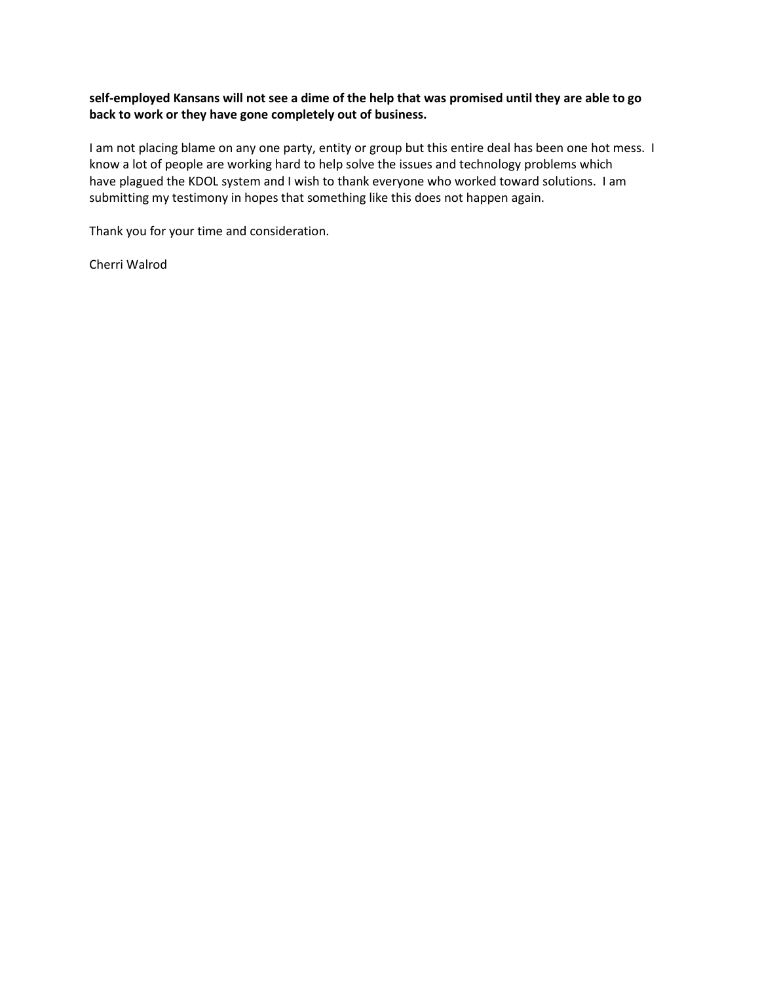#### **self-employed Kansans will not see a dime of the help that was promised until they are able to go back to work or they have gone completely out of business.**

I am not placing blame on any one party, entity or group but this entire deal has been one hot mess. I know a lot of people are working hard to help solve the issues and technology problems which have plagued the KDOL system and I wish to thank everyone who worked toward solutions. I am submitting my testimony in hopes that something like this does not happen again.

Thank you for your time and consideration.

Cherri Walrod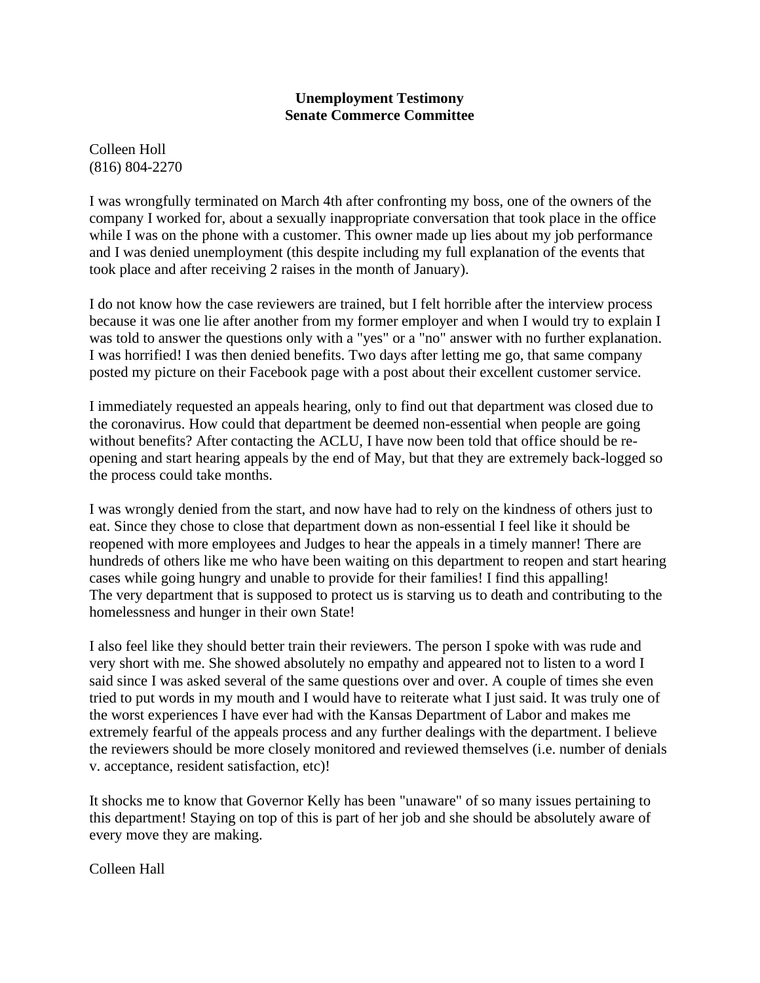Colleen Holl (816) 804-2270

I was wrongfully terminated on March 4th after confronting my boss, one of the owners of the company I worked for, about a sexually inappropriate conversation that took place in the office while I was on the phone with a customer. This owner made up lies about my job performance and I was denied unemployment (this despite including my full explanation of the events that took place and after receiving 2 raises in the month of January).

I do not know how the case reviewers are trained, but I felt horrible after the interview process because it was one lie after another from my former employer and when I would try to explain I was told to answer the questions only with a "yes" or a "no" answer with no further explanation. I was horrified! I was then denied benefits. Two days after letting me go, that same company posted my picture on their Facebook page with a post about their excellent customer service.

I immediately requested an appeals hearing, only to find out that department was closed due to the coronavirus. How could that department be deemed non-essential when people are going without benefits? After contacting the ACLU, I have now been told that office should be reopening and start hearing appeals by the end of May, but that they are extremely back-logged so the process could take months.

I was wrongly denied from the start, and now have had to rely on the kindness of others just to eat. Since they chose to close that department down as non-essential I feel like it should be reopened with more employees and Judges to hear the appeals in a timely manner! There are hundreds of others like me who have been waiting on this department to reopen and start hearing cases while going hungry and unable to provide for their families! I find this appalling! The very department that is supposed to protect us is starving us to death and contributing to the homelessness and hunger in their own State!

I also feel like they should better train their reviewers. The person I spoke with was rude and very short with me. She showed absolutely no empathy and appeared not to listen to a word I said since I was asked several of the same questions over and over. A couple of times she even tried to put words in my mouth and I would have to reiterate what I just said. It was truly one of the worst experiences I have ever had with the Kansas Department of Labor and makes me extremely fearful of the appeals process and any further dealings with the department. I believe the reviewers should be more closely monitored and reviewed themselves (i.e. number of denials v. acceptance, resident satisfaction, etc)!

It shocks me to know that Governor Kelly has been "unaware" of so many issues pertaining to this department! Staying on top of this is part of her job and she should be absolutely aware of every move they are making.

Colleen Hall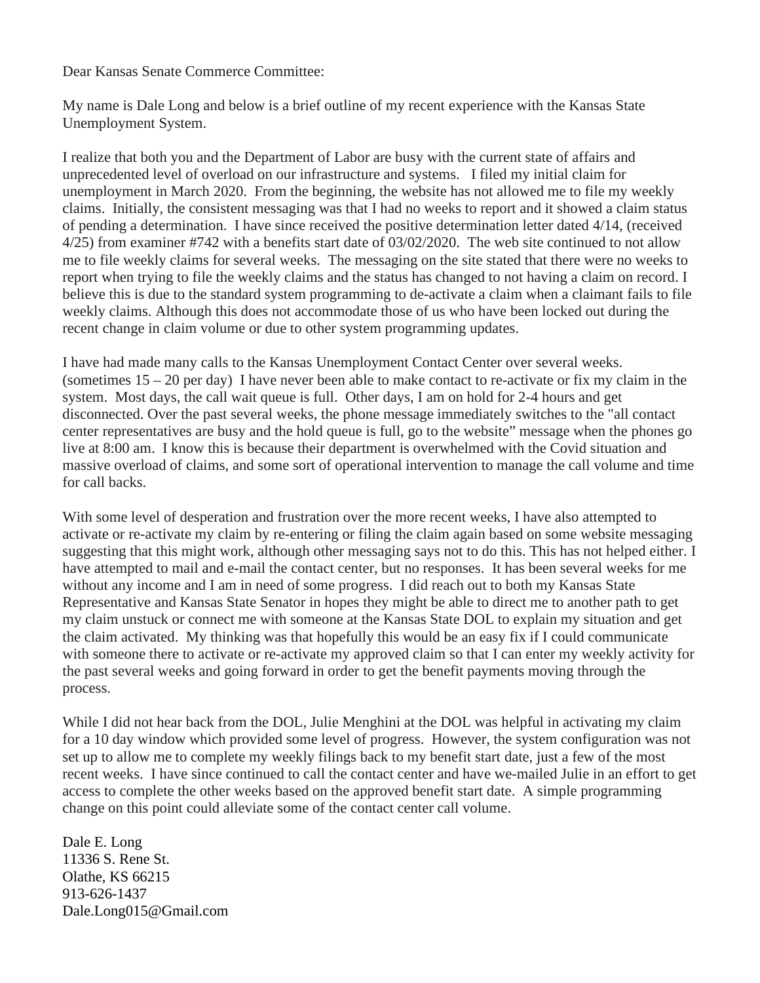Dear Kansas Senate Commerce Committee:

My name is Dale Long and below is a brief outline of my recent experience with the Kansas State Unemployment System.

I realize that both you and the Department of Labor are busy with the current state of affairs and unprecedented level of overload on our infrastructure and systems. I filed my initial claim for unemployment in March 2020. From the beginning, the website has not allowed me to file my weekly claims. Initially, the consistent messaging was that I had no weeks to report and it showed a claim status of pending a determination. I have since received the positive determination letter dated 4/14, (received 4/25) from examiner #742 with a benefits start date of 03/02/2020. The web site continued to not allow me to file weekly claims for several weeks. The messaging on the site stated that there were no weeks to report when trying to file the weekly claims and the status has changed to not having a claim on record. I believe this is due to the standard system programming to de-activate a claim when a claimant fails to file weekly claims. Although this does not accommodate those of us who have been locked out during the recent change in claim volume or due to other system programming updates.

I have had made many calls to the Kansas Unemployment Contact Center over several weeks. (sometimes 15 – 20 per day) I have never been able to make contact to re-activate or fix my claim in the system. Most days, the call wait queue is full. Other days, I am on hold for 2-4 hours and get disconnected. Over the past several weeks, the phone message immediately switches to the "all contact center representatives are busy and the hold queue is full, go to the website" message when the phones go live at 8:00 am. I know this is because their department is overwhelmed with the Covid situation and massive overload of claims, and some sort of operational intervention to manage the call volume and time for call backs.

With some level of desperation and frustration over the more recent weeks, I have also attempted to activate or re-activate my claim by re-entering or filing the claim again based on some website messaging suggesting that this might work, although other messaging says not to do this. This has not helped either. I have attempted to mail and e-mail the contact center, but no responses. It has been several weeks for me without any income and I am in need of some progress. I did reach out to both my Kansas State Representative and Kansas State Senator in hopes they might be able to direct me to another path to get my claim unstuck or connect me with someone at the Kansas State DOL to explain my situation and get the claim activated. My thinking was that hopefully this would be an easy fix if I could communicate with someone there to activate or re-activate my approved claim so that I can enter my weekly activity for the past several weeks and going forward in order to get the benefit payments moving through the process.

While I did not hear back from the DOL, Julie Menghini at the DOL was helpful in activating my claim for a 10 day window which provided some level of progress. However, the system configuration was not set up to allow me to complete my weekly filings back to my benefit start date, just a few of the most recent weeks. I have since continued to call the contact center and have we-mailed Julie in an effort to get access to complete the other weeks based on the approved benefit start date. A simple programming change on this point could alleviate some of the contact center call volume.

Dale E. Long 11336 S. Rene St. Olathe, KS 66215 913-626-1437 Dale.Long015@Gmail.com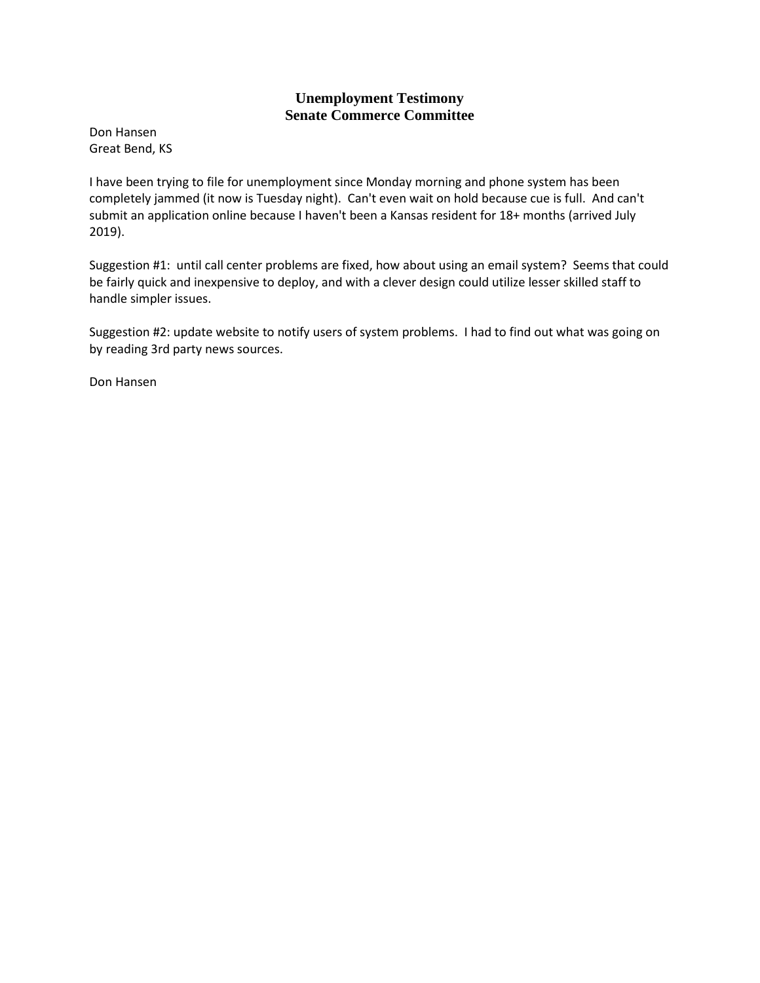Don Hansen Great Bend, KS

I have been trying to file for unemployment since Monday morning and phone system has been completely jammed (it now is Tuesday night). Can't even wait on hold because cue is full. And can't submit an application online because I haven't been a Kansas resident for 18+ months (arrived July 2019).

Suggestion #1: until call center problems are fixed, how about using an email system? Seems that could be fairly quick and inexpensive to deploy, and with a clever design could utilize lesser skilled staff to handle simpler issues.

Suggestion #2: update website to notify users of system problems. I had to find out what was going on by reading 3rd party news sources.

Don Hansen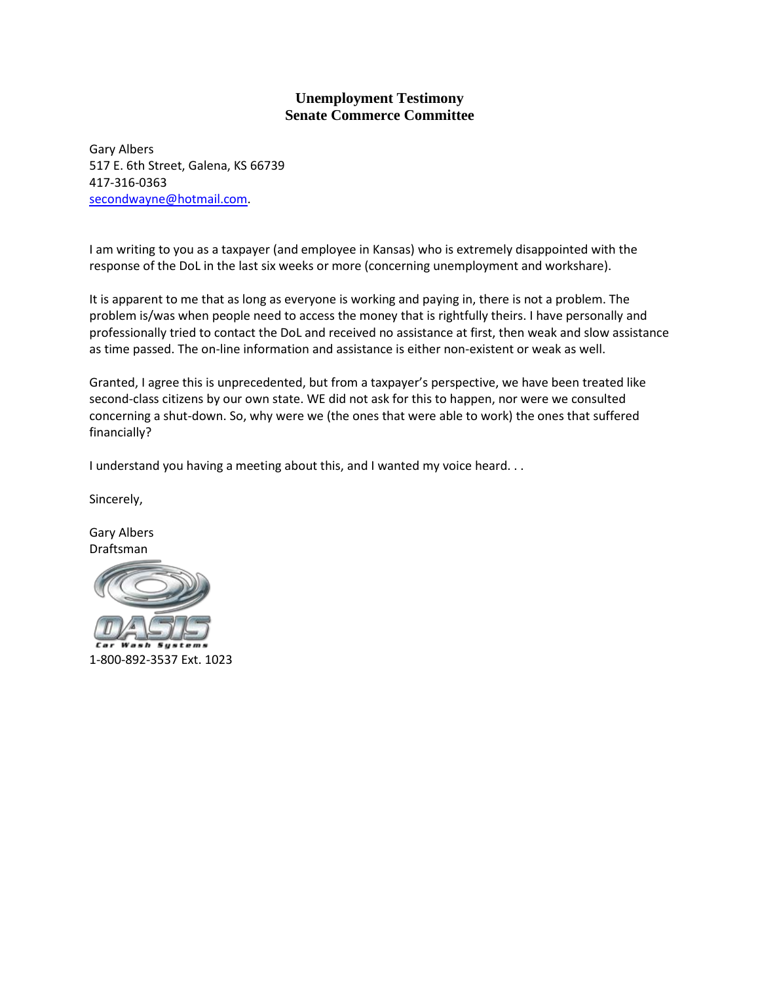Gary Albers 517 E. 6th Street, Galena, KS 66739 417-316-0363 [secondwayne@hotmail.com.](mailto:secondwayne@hotmail.com)

I am writing to you as a taxpayer (and employee in Kansas) who is extremely disappointed with the response of the DoL in the last six weeks or more (concerning unemployment and workshare).

It is apparent to me that as long as everyone is working and paying in, there is not a problem. The problem is/was when people need to access the money that is rightfully theirs. I have personally and professionally tried to contact the DoL and received no assistance at first, then weak and slow assistance as time passed. The on-line information and assistance is either non-existent or weak as well.

Granted, I agree this is unprecedented, but from a taxpayer's perspective, we have been treated like second-class citizens by our own state. WE did not ask for this to happen, nor were we consulted concerning a shut-down. So, why were we (the ones that were able to work) the ones that suffered financially?

I understand you having a meeting about this, and I wanted my voice heard. . .

Sincerely,

Gary Albers Draftsman

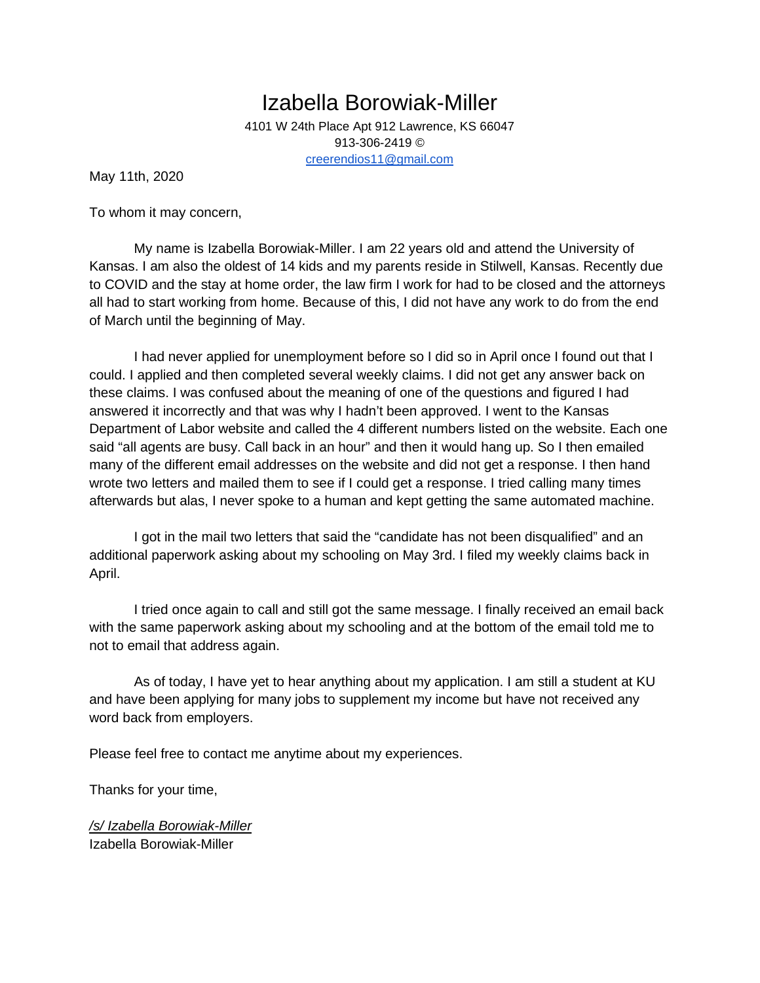Izabella Borowiak-Miller 4101 W 24th Place Apt 912 Lawrence, KS 66047 913-306-2419 © [creerendios11@gmail.com](mailto:creerendios11@gmail.com)

May 11th, 2020

To whom it may concern,

My name is Izabella Borowiak-Miller. I am 22 years old and attend the University of Kansas. I am also the oldest of 14 kids and my parents reside in Stilwell, Kansas. Recently due to COVID and the stay at home order, the law firm I work for had to be closed and the attorneys all had to start working from home. Because of this, I did not have any work to do from the end of March until the beginning of May.

I had never applied for unemployment before so I did so in April once I found out that I could. I applied and then completed several weekly claims. I did not get any answer back on these claims. I was confused about the meaning of one of the questions and figured I had answered it incorrectly and that was why I hadn't been approved. I went to the Kansas Department of Labor website and called the 4 different numbers listed on the website. Each one said "all agents are busy. Call back in an hour" and then it would hang up. So I then emailed many of the different email addresses on the website and did not get a response. I then hand wrote two letters and mailed them to see if I could get a response. I tried calling many times afterwards but alas, I never spoke to a human and kept getting the same automated machine.

I got in the mail two letters that said the "candidate has not been disqualified" and an additional paperwork asking about my schooling on May 3rd. I filed my weekly claims back in April.

I tried once again to call and still got the same message. I finally received an email back with the same paperwork asking about my schooling and at the bottom of the email told me to not to email that address again.

As of today, I have yet to hear anything about my application. I am still a student at KU and have been applying for many jobs to supplement my income but have not received any word back from employers.

Please feel free to contact me anytime about my experiences.

Thanks for your time,

*/s/ Izabella Borowiak-Miller* Izabella Borowiak-Miller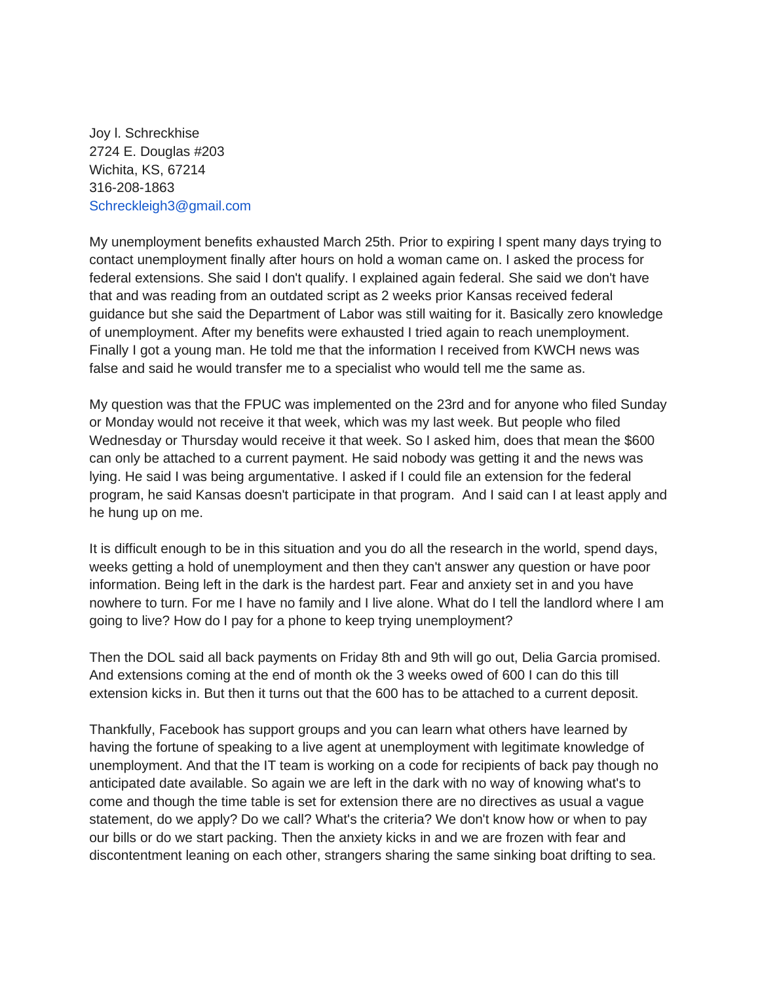Joy l. Schreckhise 2724 E. Douglas #203 Wichita, KS, 67214 316-208-1863 Schreckleigh3@gmail.com

My unemployment benefits exhausted March 25th. Prior to expiring I spent many days trying to contact unemployment finally after hours on hold a woman came on. I asked the process for federal extensions. She said I don't qualify. I explained again federal. She said we don't have that and was reading from an outdated script as 2 weeks prior Kansas received federal guidance but she said the Department of Labor was still waiting for it. Basically zero knowledge of unemployment. After my benefits were exhausted I tried again to reach unemployment. Finally I got a young man. He told me that the information I received from KWCH news was false and said he would transfer me to a specialist who would tell me the same as.

My question was that the FPUC was implemented on the 23rd and for anyone who filed Sunday or Monday would not receive it that week, which was my last week. But people who filed Wednesday or Thursday would receive it that week. So I asked him, does that mean the \$600 can only be attached to a current payment. He said nobody was getting it and the news was lying. He said I was being argumentative. I asked if I could file an extension for the federal program, he said Kansas doesn't participate in that program. And I said can I at least apply and he hung up on me.

It is difficult enough to be in this situation and you do all the research in the world, spend days, weeks getting a hold of unemployment and then they can't answer any question or have poor information. Being left in the dark is the hardest part. Fear and anxiety set in and you have nowhere to turn. For me I have no family and I live alone. What do I tell the landlord where I am going to live? How do I pay for a phone to keep trying unemployment?

Then the DOL said all back payments on Friday 8th and 9th will go out, Delia Garcia promised. And extensions coming at the end of month ok the 3 weeks owed of 600 I can do this till extension kicks in. But then it turns out that the 600 has to be attached to a current deposit.

Thankfully, Facebook has support groups and you can learn what others have learned by having the fortune of speaking to a live agent at unemployment with legitimate knowledge of unemployment. And that the IT team is working on a code for recipients of back pay though no anticipated date available. So again we are left in the dark with no way of knowing what's to come and though the time table is set for extension there are no directives as usual a vague statement, do we apply? Do we call? What's the criteria? We don't know how or when to pay our bills or do we start packing. Then the anxiety kicks in and we are frozen with fear and discontentment leaning on each other, strangers sharing the same sinking boat drifting to sea.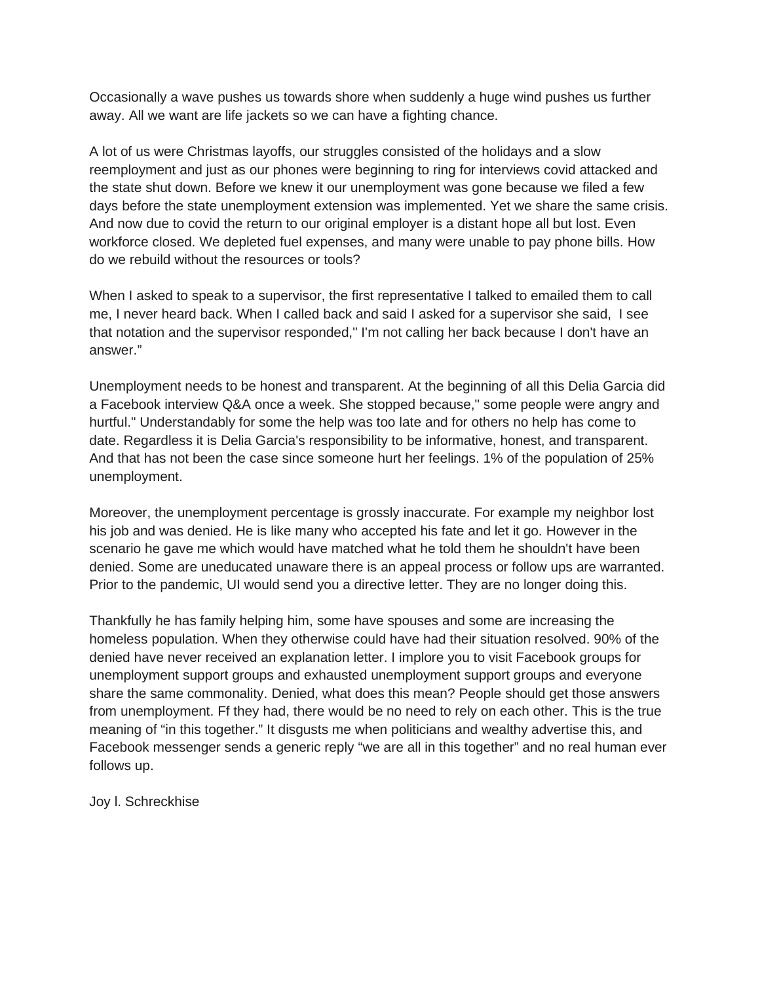Occasionally a wave pushes us towards shore when suddenly a huge wind pushes us further away. All we want are life jackets so we can have a fighting chance.

A lot of us were Christmas layoffs, our struggles consisted of the holidays and a slow reemployment and just as our phones were beginning to ring for interviews covid attacked and the state shut down. Before we knew it our unemployment was gone because we filed a few days before the state unemployment extension was implemented. Yet we share the same crisis. And now due to covid the return to our original employer is a distant hope all but lost. Even workforce closed. We depleted fuel expenses, and many were unable to pay phone bills. How do we rebuild without the resources or tools?

When I asked to speak to a supervisor, the first representative I talked to emailed them to call me, I never heard back. When I called back and said I asked for a supervisor she said, I see that notation and the supervisor responded," I'm not calling her back because I don't have an answer."

Unemployment needs to be honest and transparent. At the beginning of all this Delia Garcia did a Facebook interview Q&A once a week. She stopped because," some people were angry and hurtful." Understandably for some the help was too late and for others no help has come to date. Regardless it is Delia Garcia's responsibility to be informative, honest, and transparent. And that has not been the case since someone hurt her feelings. 1% of the population of 25% unemployment.

Moreover, the unemployment percentage is grossly inaccurate. For example my neighbor lost his job and was denied. He is like many who accepted his fate and let it go. However in the scenario he gave me which would have matched what he told them he shouldn't have been denied. Some are uneducated unaware there is an appeal process or follow ups are warranted. Prior to the pandemic, UI would send you a directive letter. They are no longer doing this.

Thankfully he has family helping him, some have spouses and some are increasing the homeless population. When they otherwise could have had their situation resolved. 90% of the denied have never received an explanation letter. I implore you to visit Facebook groups for unemployment support groups and exhausted unemployment support groups and everyone share the same commonality. Denied, what does this mean? People should get those answers from unemployment. Ff they had, there would be no need to rely on each other. This is the true meaning of "in this together." It disgusts me when politicians and wealthy advertise this, and Facebook messenger sends a generic reply "we are all in this together" and no real human ever follows up.

Joy l. Schreckhise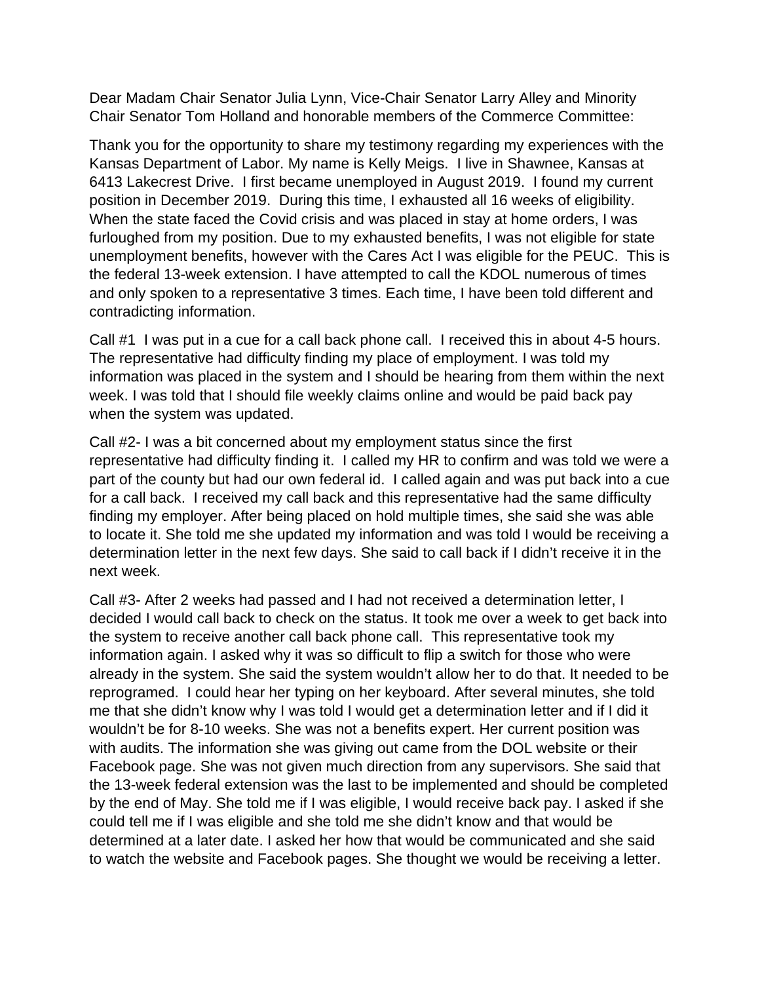Dear Madam Chair Senator Julia Lynn, Vice-Chair Senator Larry Alley and Minority Chair Senator Tom Holland and honorable members of the Commerce Committee:

Thank you for the opportunity to share my testimony regarding my experiences with the Kansas Department of Labor. My name is Kelly Meigs. I live in Shawnee, Kansas at 6413 Lakecrest Drive. I first became unemployed in August 2019. I found my current position in December 2019. During this time, I exhausted all 16 weeks of eligibility. When the state faced the Covid crisis and was placed in stay at home orders, I was furloughed from my position. Due to my exhausted benefits, I was not eligible for state unemployment benefits, however with the Cares Act I was eligible for the PEUC. This is the federal 13-week extension. I have attempted to call the KDOL numerous of times and only spoken to a representative 3 times. Each time, I have been told different and contradicting information.

Call #1 I was put in a cue for a call back phone call. I received this in about 4-5 hours. The representative had difficulty finding my place of employment. I was told my information was placed in the system and I should be hearing from them within the next week. I was told that I should file weekly claims online and would be paid back pay when the system was updated.

Call #2- I was a bit concerned about my employment status since the first representative had difficulty finding it. I called my HR to confirm and was told we were a part of the county but had our own federal id. I called again and was put back into a cue for a call back. I received my call back and this representative had the same difficulty finding my employer. After being placed on hold multiple times, she said she was able to locate it. She told me she updated my information and was told I would be receiving a determination letter in the next few days. She said to call back if I didn't receive it in the next week.

Call #3- After 2 weeks had passed and I had not received a determination letter, I decided I would call back to check on the status. It took me over a week to get back into the system to receive another call back phone call. This representative took my information again. I asked why it was so difficult to flip a switch for those who were already in the system. She said the system wouldn't allow her to do that. It needed to be reprogramed. I could hear her typing on her keyboard. After several minutes, she told me that she didn't know why I was told I would get a determination letter and if I did it wouldn't be for 8-10 weeks. She was not a benefits expert. Her current position was with audits. The information she was giving out came from the DOL website or their Facebook page. She was not given much direction from any supervisors. She said that the 13-week federal extension was the last to be implemented and should be completed by the end of May. She told me if I was eligible, I would receive back pay. I asked if she could tell me if I was eligible and she told me she didn't know and that would be determined at a later date. I asked her how that would be communicated and she said to watch the website and Facebook pages. She thought we would be receiving a letter.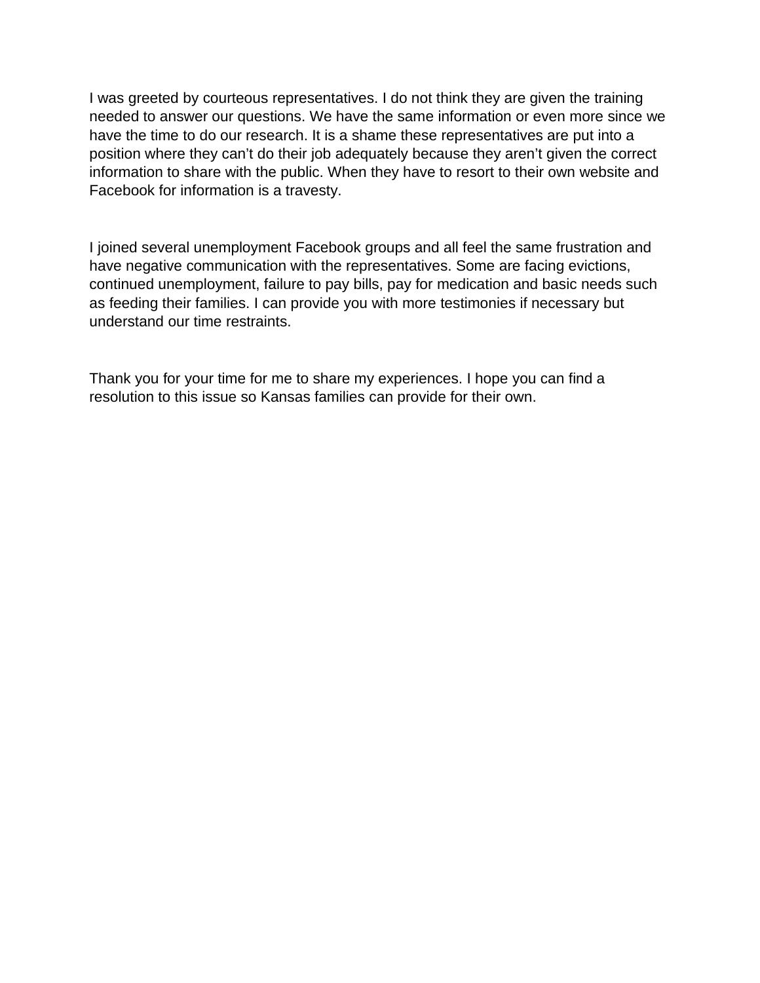I was greeted by courteous representatives. I do not think they are given the training needed to answer our questions. We have the same information or even more since we have the time to do our research. It is a shame these representatives are put into a position where they can't do their job adequately because they aren't given the correct information to share with the public. When they have to resort to their own website and Facebook for information is a travesty.

I joined several unemployment Facebook groups and all feel the same frustration and have negative communication with the representatives. Some are facing evictions, continued unemployment, failure to pay bills, pay for medication and basic needs such as feeding their families. I can provide you with more testimonies if necessary but understand our time restraints.

Thank you for your time for me to share my experiences. I hope you can find a resolution to this issue so Kansas families can provide for their own.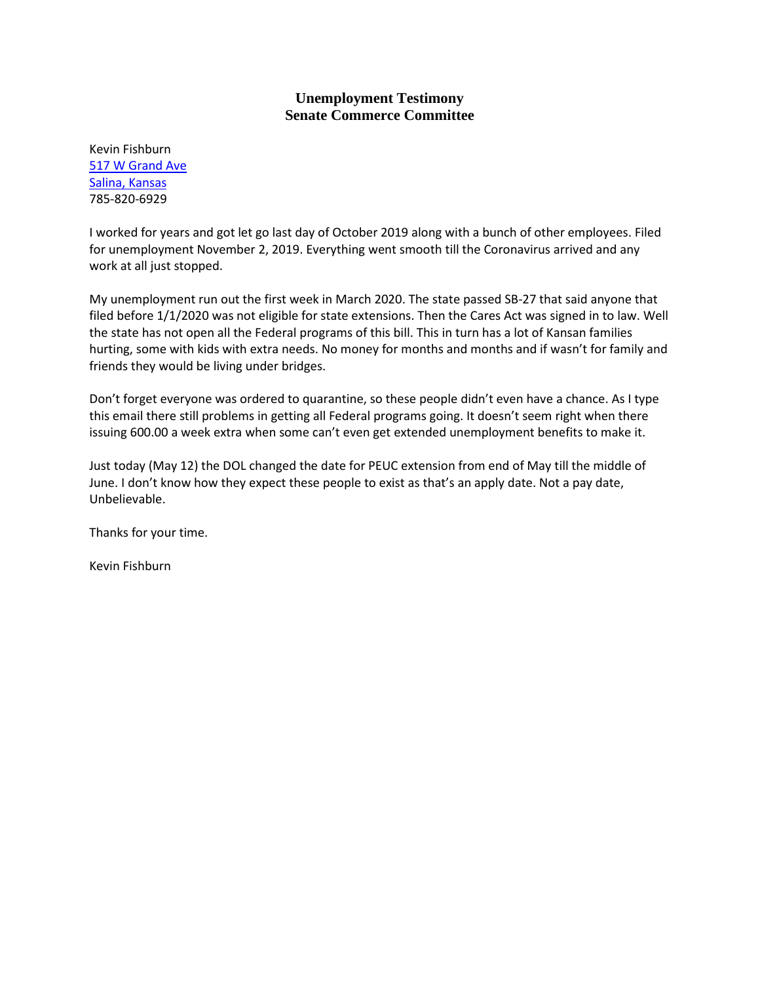Kevin Fishburn [517 W Grand Ave](x-apple-data-detectors://3/1) [Salina, Kansas](x-apple-data-detectors://3/1) 785-820-6929

I worked for years and got let go last day of October 2019 along with a bunch of other employees. Filed for unemployment November 2, 2019. Everything went smooth till the Coronavirus arrived and any work at all just stopped.

My unemployment run out the first week in March 2020. The state passed SB-27 that said anyone that filed before 1/1/2020 was not eligible for state extensions. Then the Cares Act was signed in to law. Well the state has not open all the Federal programs of this bill. This in turn has a lot of Kansan families hurting, some with kids with extra needs. No money for months and months and if wasn't for family and friends they would be living under bridges.

Don't forget everyone was ordered to quarantine, so these people didn't even have a chance. As I type this email there still problems in getting all Federal programs going. It doesn't seem right when there issuing 600.00 a week extra when some can't even get extended unemployment benefits to make it.

Just today (May 12) the DOL changed the date for PEUC extension from end of May till the middle of June. I don't know how they expect these people to exist as that's an apply date. Not a pay date, Unbelievable.

Thanks for your time.

Kevin Fishburn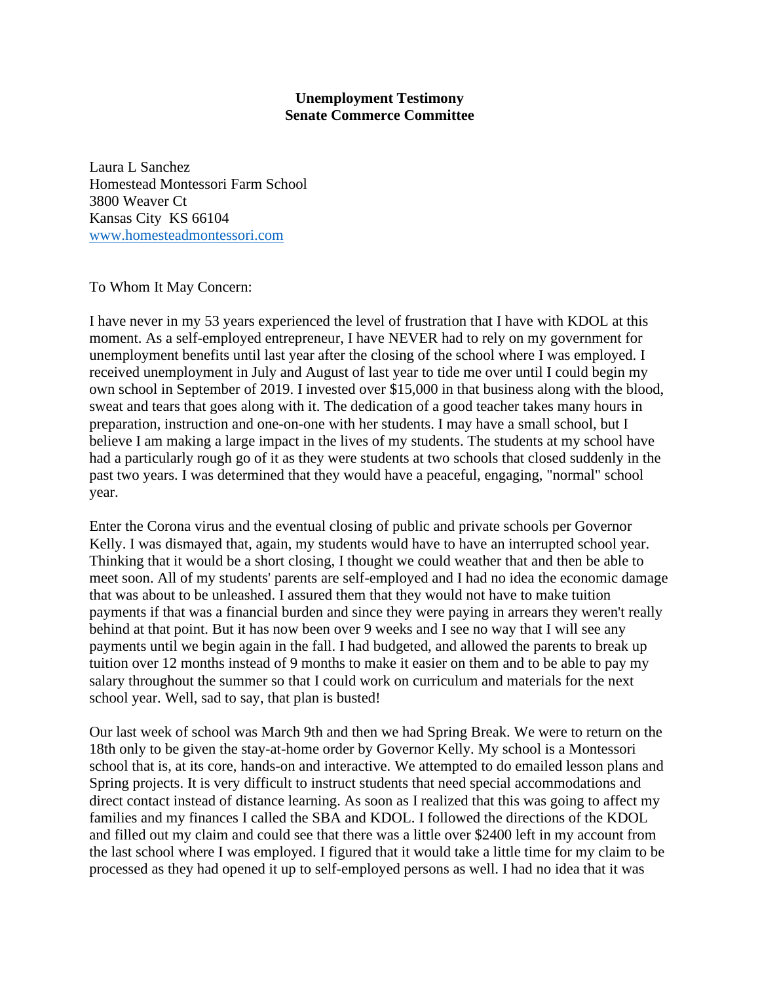Laura L Sanchez Homestead Montessori Farm School 3800 Weaver Ct Kansas City KS 66104 [www.homesteadmontessori.com](http://www.homesteadmontessori.com/)

To Whom It May Concern:

I have never in my 53 years experienced the level of frustration that I have with KDOL at this moment. As a self-employed entrepreneur, I have NEVER had to rely on my government for unemployment benefits until last year after the closing of the school where I was employed. I received unemployment in July and August of last year to tide me over until I could begin my own school in September of 2019. I invested over \$15,000 in that business along with the blood, sweat and tears that goes along with it. The dedication of a good teacher takes many hours in preparation, instruction and one-on-one with her students. I may have a small school, but I believe I am making a large impact in the lives of my students. The students at my school have had a particularly rough go of it as they were students at two schools that closed suddenly in the past two years. I was determined that they would have a peaceful, engaging, "normal" school year.

Enter the Corona virus and the eventual closing of public and private schools per Governor Kelly. I was dismayed that, again, my students would have to have an interrupted school year. Thinking that it would be a short closing, I thought we could weather that and then be able to meet soon. All of my students' parents are self-employed and I had no idea the economic damage that was about to be unleashed. I assured them that they would not have to make tuition payments if that was a financial burden and since they were paying in arrears they weren't really behind at that point. But it has now been over 9 weeks and I see no way that I will see any payments until we begin again in the fall. I had budgeted, and allowed the parents to break up tuition over 12 months instead of 9 months to make it easier on them and to be able to pay my salary throughout the summer so that I could work on curriculum and materials for the next school year. Well, sad to say, that plan is busted!

Our last week of school was March 9th and then we had Spring Break. We were to return on the 18th only to be given the stay-at-home order by Governor Kelly. My school is a Montessori school that is, at its core, hands-on and interactive. We attempted to do emailed lesson plans and Spring projects. It is very difficult to instruct students that need special accommodations and direct contact instead of distance learning. As soon as I realized that this was going to affect my families and my finances I called the SBA and KDOL. I followed the directions of the KDOL and filled out my claim and could see that there was a little over \$2400 left in my account from the last school where I was employed. I figured that it would take a little time for my claim to be processed as they had opened it up to self-employed persons as well. I had no idea that it was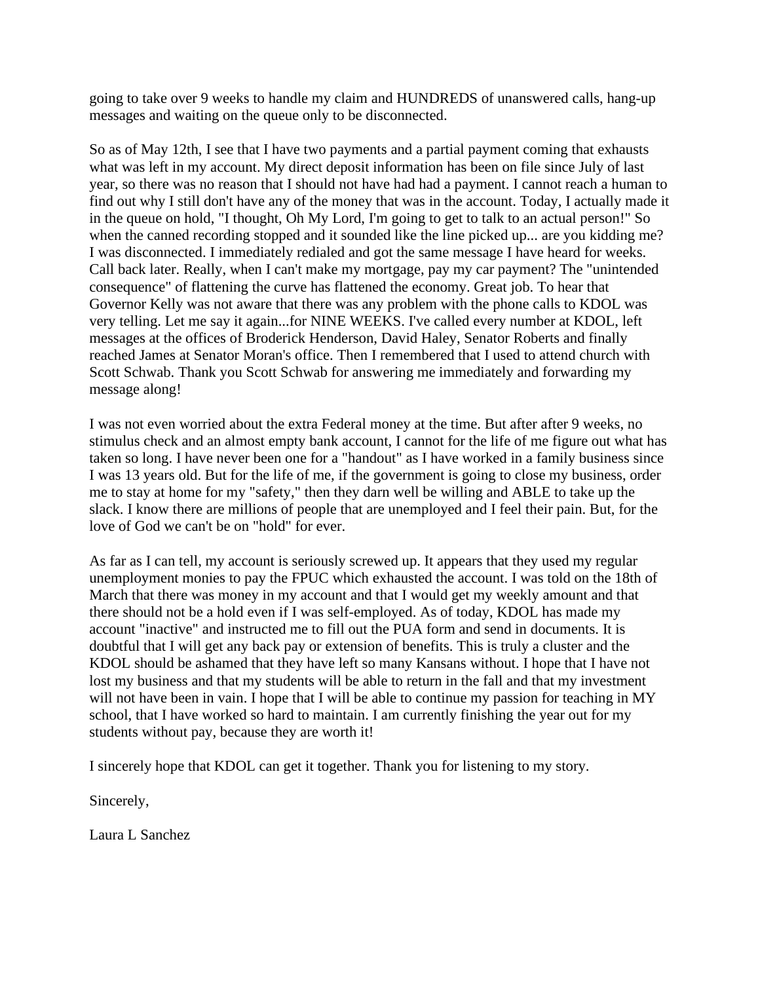going to take over 9 weeks to handle my claim and HUNDREDS of unanswered calls, hang-up messages and waiting on the queue only to be disconnected.

So as of May 12th, I see that I have two payments and a partial payment coming that exhausts what was left in my account. My direct deposit information has been on file since July of last year, so there was no reason that I should not have had had a payment. I cannot reach a human to find out why I still don't have any of the money that was in the account. Today, I actually made it in the queue on hold, "I thought, Oh My Lord, I'm going to get to talk to an actual person!" So when the canned recording stopped and it sounded like the line picked up... are you kidding me? I was disconnected. I immediately redialed and got the same message I have heard for weeks. Call back later. Really, when I can't make my mortgage, pay my car payment? The "unintended consequence" of flattening the curve has flattened the economy. Great job. To hear that Governor Kelly was not aware that there was any problem with the phone calls to KDOL was very telling. Let me say it again...for NINE WEEKS. I've called every number at KDOL, left messages at the offices of Broderick Henderson, David Haley, Senator Roberts and finally reached James at Senator Moran's office. Then I remembered that I used to attend church with Scott Schwab. Thank you Scott Schwab for answering me immediately and forwarding my message along!

I was not even worried about the extra Federal money at the time. But after after 9 weeks, no stimulus check and an almost empty bank account, I cannot for the life of me figure out what has taken so long. I have never been one for a "handout" as I have worked in a family business since I was 13 years old. But for the life of me, if the government is going to close my business, order me to stay at home for my "safety," then they darn well be willing and ABLE to take up the slack. I know there are millions of people that are unemployed and I feel their pain. But, for the love of God we can't be on "hold" for ever.

As far as I can tell, my account is seriously screwed up. It appears that they used my regular unemployment monies to pay the FPUC which exhausted the account. I was told on the 18th of March that there was money in my account and that I would get my weekly amount and that there should not be a hold even if I was self-employed. As of today, KDOL has made my account "inactive" and instructed me to fill out the PUA form and send in documents. It is doubtful that I will get any back pay or extension of benefits. This is truly a cluster and the KDOL should be ashamed that they have left so many Kansans without. I hope that I have not lost my business and that my students will be able to return in the fall and that my investment will not have been in vain. I hope that I will be able to continue my passion for teaching in MY school, that I have worked so hard to maintain. I am currently finishing the year out for my students without pay, because they are worth it!

I sincerely hope that KDOL can get it together. Thank you for listening to my story.

Sincerely,

Laura L Sanchez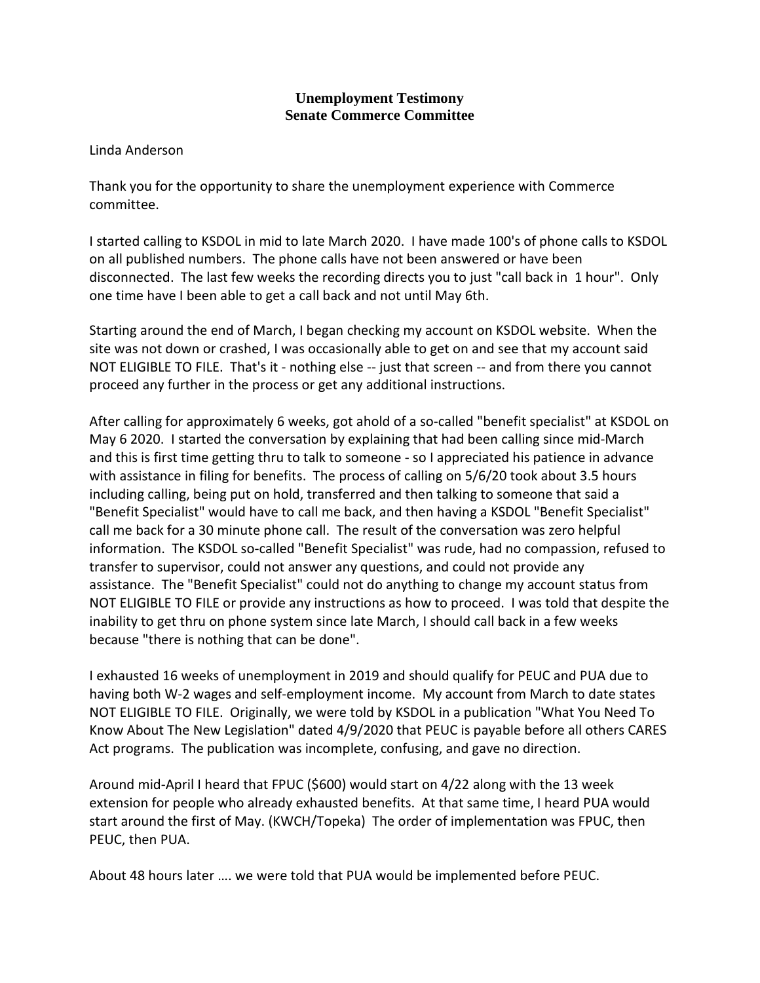Linda Anderson

Thank you for the opportunity to share the unemployment experience with Commerce committee.

I started calling to KSDOL in mid to late March 2020. I have made 100's of phone calls to KSDOL on all published numbers. The phone calls have not been answered or have been disconnected. The last few weeks the recording directs you to just "call back in 1 hour". Only one time have I been able to get a call back and not until May 6th.

Starting around the end of March, I began checking my account on KSDOL website. When the site was not down or crashed, I was occasionally able to get on and see that my account said NOT ELIGIBLE TO FILE. That's it - nothing else -- just that screen -- and from there you cannot proceed any further in the process or get any additional instructions.

After calling for approximately 6 weeks, got ahold of a so-called "benefit specialist" at KSDOL on May 6 2020. I started the conversation by explaining that had been calling since mid-March and this is first time getting thru to talk to someone - so I appreciated his patience in advance with assistance in filing for benefits. The process of calling on 5/6/20 took about 3.5 hours including calling, being put on hold, transferred and then talking to someone that said a "Benefit Specialist" would have to call me back, and then having a KSDOL "Benefit Specialist" call me back for a 30 minute phone call. The result of the conversation was zero helpful information. The KSDOL so-called "Benefit Specialist" was rude, had no compassion, refused to transfer to supervisor, could not answer any questions, and could not provide any assistance. The "Benefit Specialist" could not do anything to change my account status from NOT ELIGIBLE TO FILE or provide any instructions as how to proceed. I was told that despite the inability to get thru on phone system since late March, I should call back in a few weeks because "there is nothing that can be done".

I exhausted 16 weeks of unemployment in 2019 and should qualify for PEUC and PUA due to having both W-2 wages and self-employment income. My account from March to date states NOT ELIGIBLE TO FILE. Originally, we were told by KSDOL in a publication "What You Need To Know About The New Legislation" dated 4/9/2020 that PEUC is payable before all others CARES Act programs. The publication was incomplete, confusing, and gave no direction.

Around mid-April I heard that FPUC (\$600) would start on 4/22 along with the 13 week extension for people who already exhausted benefits. At that same time, I heard PUA would start around the first of May. (KWCH/Topeka) The order of implementation was FPUC, then PEUC, then PUA.

About 48 hours later …. we were told that PUA would be implemented before PEUC.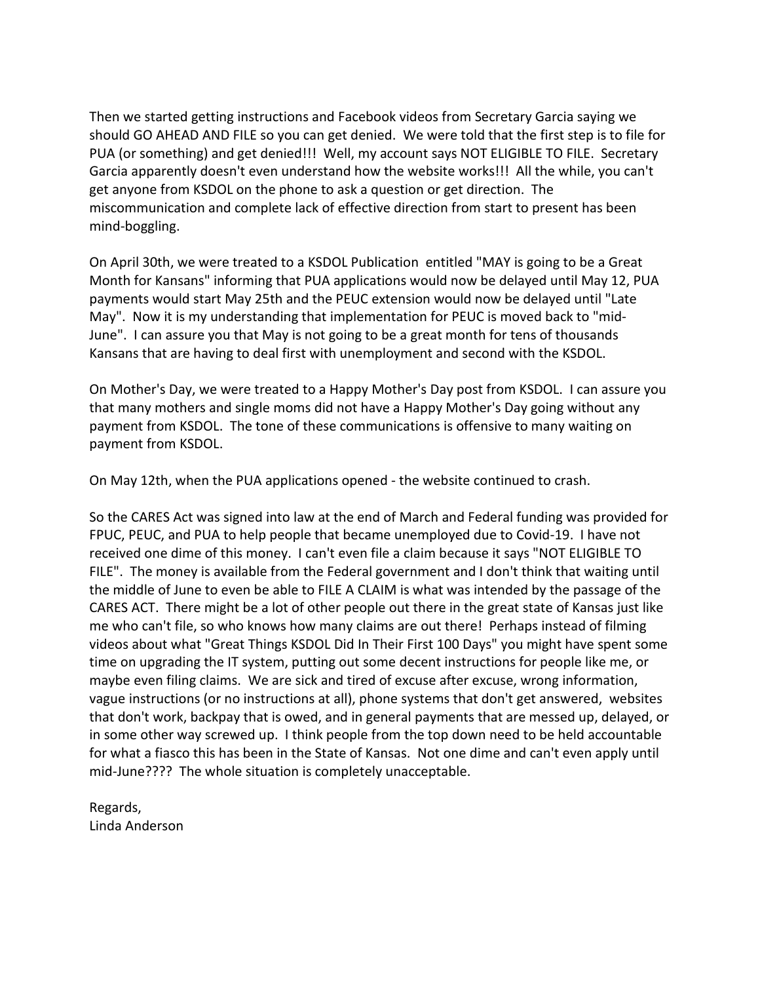Then we started getting instructions and Facebook videos from Secretary Garcia saying we should GO AHEAD AND FILE so you can get denied. We were told that the first step is to file for PUA (or something) and get denied!!! Well, my account says NOT ELIGIBLE TO FILE. Secretary Garcia apparently doesn't even understand how the website works!!! All the while, you can't get anyone from KSDOL on the phone to ask a question or get direction. The miscommunication and complete lack of effective direction from start to present has been mind-boggling.

On April 30th, we were treated to a KSDOL Publication entitled "MAY is going to be a Great Month for Kansans" informing that PUA applications would now be delayed until May 12, PUA payments would start May 25th and the PEUC extension would now be delayed until "Late May". Now it is my understanding that implementation for PEUC is moved back to "mid-June". I can assure you that May is not going to be a great month for tens of thousands Kansans that are having to deal first with unemployment and second with the KSDOL.

On Mother's Day, we were treated to a Happy Mother's Day post from KSDOL. I can assure you that many mothers and single moms did not have a Happy Mother's Day going without any payment from KSDOL. The tone of these communications is offensive to many waiting on payment from KSDOL.

On May 12th, when the PUA applications opened - the website continued to crash.

So the CARES Act was signed into law at the end of March and Federal funding was provided for FPUC, PEUC, and PUA to help people that became unemployed due to Covid-19. I have not received one dime of this money. I can't even file a claim because it says "NOT ELIGIBLE TO FILE". The money is available from the Federal government and I don't think that waiting until the middle of June to even be able to FILE A CLAIM is what was intended by the passage of the CARES ACT. There might be a lot of other people out there in the great state of Kansas just like me who can't file, so who knows how many claims are out there! Perhaps instead of filming videos about what "Great Things KSDOL Did In Their First 100 Days" you might have spent some time on upgrading the IT system, putting out some decent instructions for people like me, or maybe even filing claims. We are sick and tired of excuse after excuse, wrong information, vague instructions (or no instructions at all), phone systems that don't get answered, websites that don't work, backpay that is owed, and in general payments that are messed up, delayed, or in some other way screwed up. I think people from the top down need to be held accountable for what a fiasco this has been in the State of Kansas. Not one dime and can't even apply until mid-June???? The whole situation is completely unacceptable.

Regards, Linda Anderson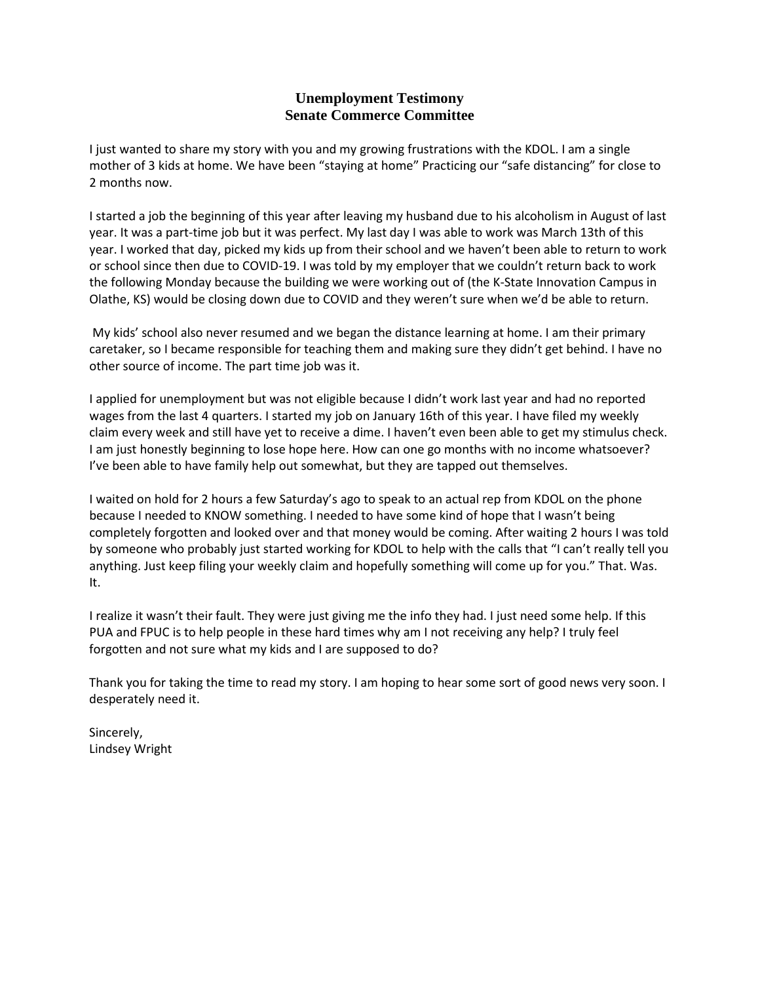I just wanted to share my story with you and my growing frustrations with the KDOL. I am a single mother of 3 kids at home. We have been "staying at home" Practicing our "safe distancing" for close to 2 months now.

I started a job the beginning of this year after leaving my husband due to his alcoholism in August of last year. It was a part-time job but it was perfect. My last day I was able to work was March 13th of this year. I worked that day, picked my kids up from their school and we haven't been able to return to work or school since then due to COVID-19. I was told by my employer that we couldn't return back to work the following Monday because the building we were working out of (the K-State Innovation Campus in Olathe, KS) would be closing down due to COVID and they weren't sure when we'd be able to return.

My kids' school also never resumed and we began the distance learning at home. I am their primary caretaker, so I became responsible for teaching them and making sure they didn't get behind. I have no other source of income. The part time job was it.

I applied for unemployment but was not eligible because I didn't work last year and had no reported wages from the last 4 quarters. I started my job on January 16th of this year. I have filed my weekly claim every week and still have yet to receive a dime. I haven't even been able to get my stimulus check. I am just honestly beginning to lose hope here. How can one go months with no income whatsoever? I've been able to have family help out somewhat, but they are tapped out themselves.

I waited on hold for 2 hours a few Saturday's ago to speak to an actual rep from KDOL on the phone because I needed to KNOW something. I needed to have some kind of hope that I wasn't being completely forgotten and looked over and that money would be coming. After waiting 2 hours I was told by someone who probably just started working for KDOL to help with the calls that "I can't really tell you anything. Just keep filing your weekly claim and hopefully something will come up for you." That. Was. It.

I realize it wasn't their fault. They were just giving me the info they had. I just need some help. If this PUA and FPUC is to help people in these hard times why am I not receiving any help? I truly feel forgotten and not sure what my kids and I are supposed to do?

Thank you for taking the time to read my story. I am hoping to hear some sort of good news very soon. I desperately need it.

Sincerely, Lindsey Wright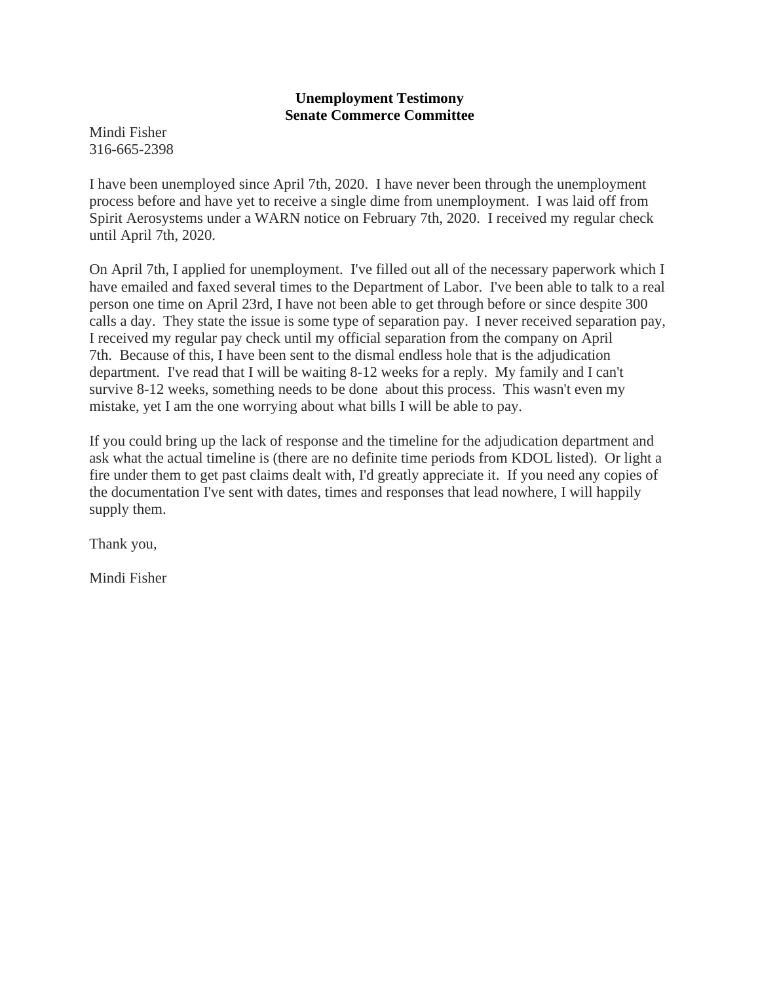Mindi Fisher 316-665-2398

I have been unemployed since April 7th, 2020. I have never been through the unemployment process before and have yet to receive a single dime from unemployment. I was laid off from Spirit Aerosystems under a WARN notice on February 7th, 2020. I received my regular check until April 7th, 2020.

On April 7th, I applied for unemployment. I've filled out all of the necessary paperwork which I have emailed and faxed several times to the Department of Labor. I've been able to talk to a real person one time on April 23rd, I have not been able to get through before or since despite 300 calls a day. They state the issue is some type of separation pay. I never received separation pay, I received my regular pay check until my official separation from the company on April 7th. Because of this, I have been sent to the dismal endless hole that is the adjudication department. I've read that I will be waiting 8-12 weeks for a reply. My family and I can't survive 8-12 weeks, something needs to be done about this process. This wasn't even my mistake, yet I am the one worrying about what bills I will be able to pay.

If you could bring up the lack of response and the timeline for the adjudication department and ask what the actual timeline is (there are no definite time periods from KDOL listed). Or light a fire under them to get past claims dealt with, I'd greatly appreciate it. If you need any copies of the documentation I've sent with dates, times and responses that lead nowhere, I will happily supply them.

Thank you,

Mindi Fisher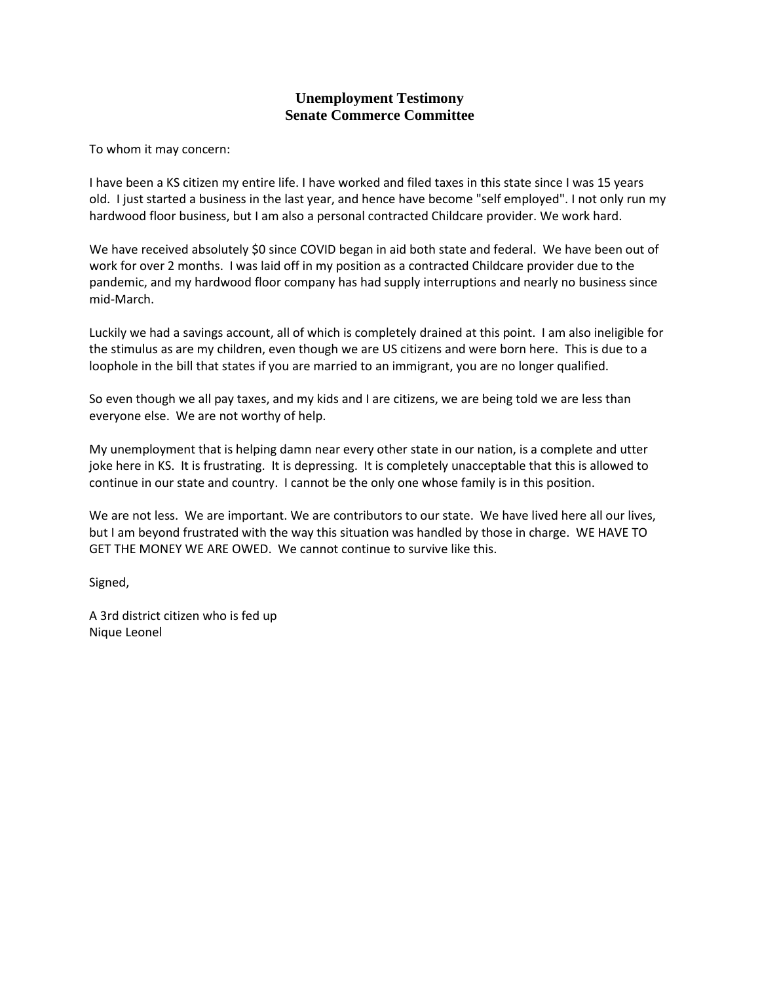To whom it may concern:

I have been a KS citizen my entire life. I have worked and filed taxes in this state since I was 15 years old. I just started a business in the last year, and hence have become "self employed". I not only run my hardwood floor business, but I am also a personal contracted Childcare provider. We work hard.

We have received absolutely \$0 since COVID began in aid both state and federal. We have been out of work for over 2 months. I was laid off in my position as a contracted Childcare provider due to the pandemic, and my hardwood floor company has had supply interruptions and nearly no business since mid-March.

Luckily we had a savings account, all of which is completely drained at this point. I am also ineligible for the stimulus as are my children, even though we are US citizens and were born here. This is due to a loophole in the bill that states if you are married to an immigrant, you are no longer qualified.

So even though we all pay taxes, and my kids and I are citizens, we are being told we are less than everyone else. We are not worthy of help.

My unemployment that is helping damn near every other state in our nation, is a complete and utter joke here in KS. It is frustrating. It is depressing. It is completely unacceptable that this is allowed to continue in our state and country. I cannot be the only one whose family is in this position.

We are not less. We are important. We are contributors to our state. We have lived here all our lives, but I am beyond frustrated with the way this situation was handled by those in charge. WE HAVE TO GET THE MONEY WE ARE OWED. We cannot continue to survive like this.

Signed,

A 3rd district citizen who is fed up Nique Leonel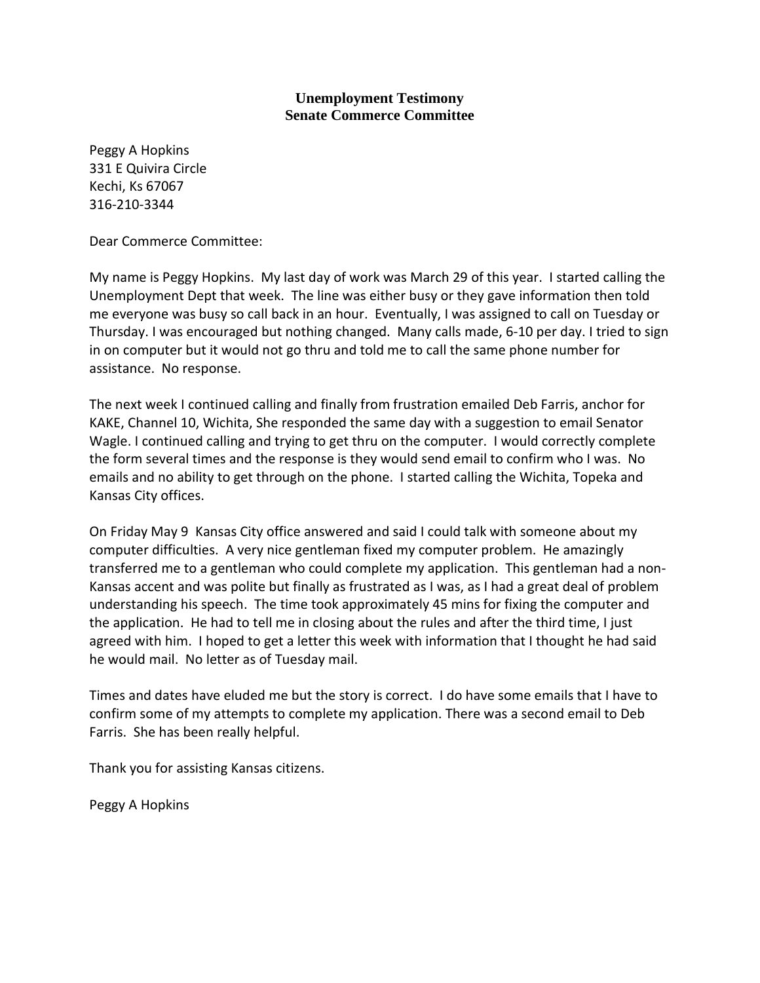Peggy A Hopkins 331 E Quivira Circle Kechi, Ks 67067 316-210-3344

Dear Commerce Committee:

My name is Peggy Hopkins. My last day of work was March 29 of this year. I started calling the Unemployment Dept that week. The line was either busy or they gave information then told me everyone was busy so call back in an hour. Eventually, I was assigned to call on Tuesday or Thursday. I was encouraged but nothing changed. Many calls made, 6-10 per day. I tried to sign in on computer but it would not go thru and told me to call the same phone number for assistance. No response.

The next week I continued calling and finally from frustration emailed Deb Farris, anchor for KAKE, Channel 10, Wichita, She responded the same day with a suggestion to email Senator Wagle. I continued calling and trying to get thru on the computer. I would correctly complete the form several times and the response is they would send email to confirm who I was. No emails and no ability to get through on the phone. I started calling the Wichita, Topeka and Kansas City offices.

On Friday May 9 Kansas City office answered and said I could talk with someone about my computer difficulties. A very nice gentleman fixed my computer problem. He amazingly transferred me to a gentleman who could complete my application. This gentleman had a non-Kansas accent and was polite but finally as frustrated as I was, as I had a great deal of problem understanding his speech. The time took approximately 45 mins for fixing the computer and the application. He had to tell me in closing about the rules and after the third time, I just agreed with him. I hoped to get a letter this week with information that I thought he had said he would mail. No letter as of Tuesday mail.

Times and dates have eluded me but the story is correct. I do have some emails that I have to confirm some of my attempts to complete my application. There was a second email to Deb Farris. She has been really helpful.

Thank you for assisting Kansas citizens.

Peggy A Hopkins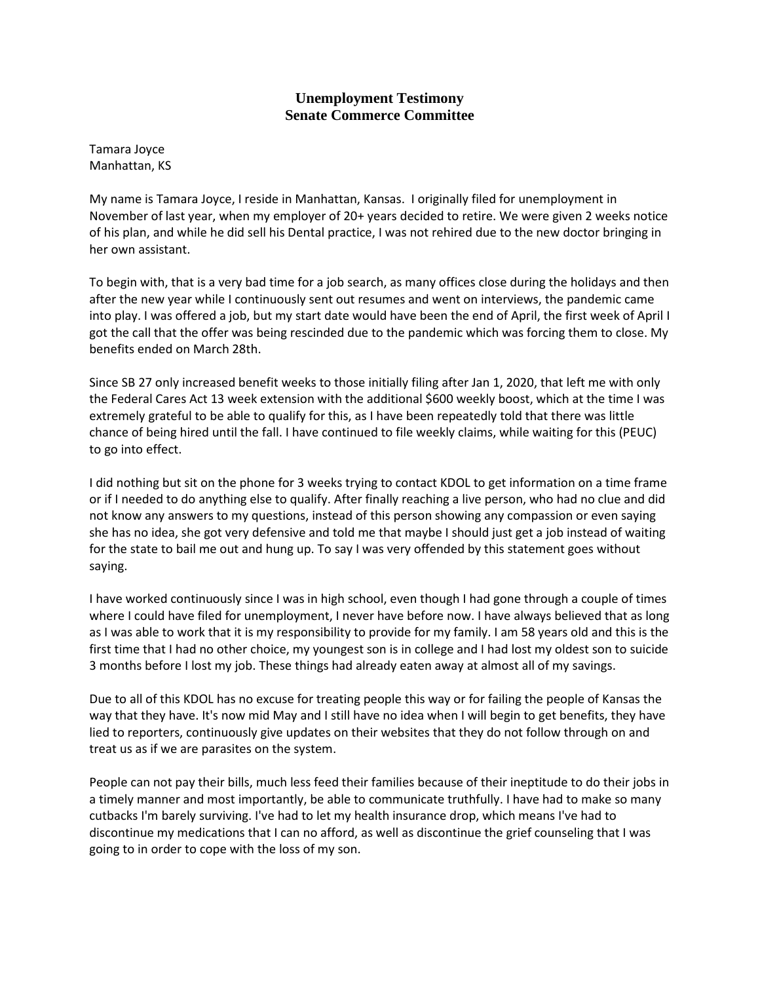Tamara Joyce Manhattan, KS

My name is Tamara Joyce, I reside in Manhattan, Kansas. I originally filed for unemployment in November of last year, when my employer of 20+ years decided to retire. We were given 2 weeks notice of his plan, and while he did sell his Dental practice, I was not rehired due to the new doctor bringing in her own assistant.

To begin with, that is a very bad time for a job search, as many offices close during the holidays and then after the new year while I continuously sent out resumes and went on interviews, the pandemic came into play. I was offered a job, but my start date would have been the end of April, the first week of April I got the call that the offer was being rescinded due to the pandemic which was forcing them to close. My benefits ended on March 28th.

Since SB 27 only increased benefit weeks to those initially filing after Jan 1, 2020, that left me with only the Federal Cares Act 13 week extension with the additional \$600 weekly boost, which at the time I was extremely grateful to be able to qualify for this, as I have been repeatedly told that there was little chance of being hired until the fall. I have continued to file weekly claims, while waiting for this (PEUC) to go into effect.

I did nothing but sit on the phone for 3 weeks trying to contact KDOL to get information on a time frame or if I needed to do anything else to qualify. After finally reaching a live person, who had no clue and did not know any answers to my questions, instead of this person showing any compassion or even saying she has no idea, she got very defensive and told me that maybe I should just get a job instead of waiting for the state to bail me out and hung up. To say I was very offended by this statement goes without saying.

I have worked continuously since I was in high school, even though I had gone through a couple of times where I could have filed for unemployment, I never have before now. I have always believed that as long as I was able to work that it is my responsibility to provide for my family. I am 58 years old and this is the first time that I had no other choice, my youngest son is in college and I had lost my oldest son to suicide 3 months before I lost my job. These things had already eaten away at almost all of my savings.

Due to all of this KDOL has no excuse for treating people this way or for failing the people of Kansas the way that they have. It's now mid May and I still have no idea when I will begin to get benefits, they have lied to reporters, continuously give updates on their websites that they do not follow through on and treat us as if we are parasites on the system.

People can not pay their bills, much less feed their families because of their ineptitude to do their jobs in a timely manner and most importantly, be able to communicate truthfully. I have had to make so many cutbacks I'm barely surviving. I've had to let my health insurance drop, which means I've had to discontinue my medications that I can no afford, as well as discontinue the grief counseling that I was going to in order to cope with the loss of my son.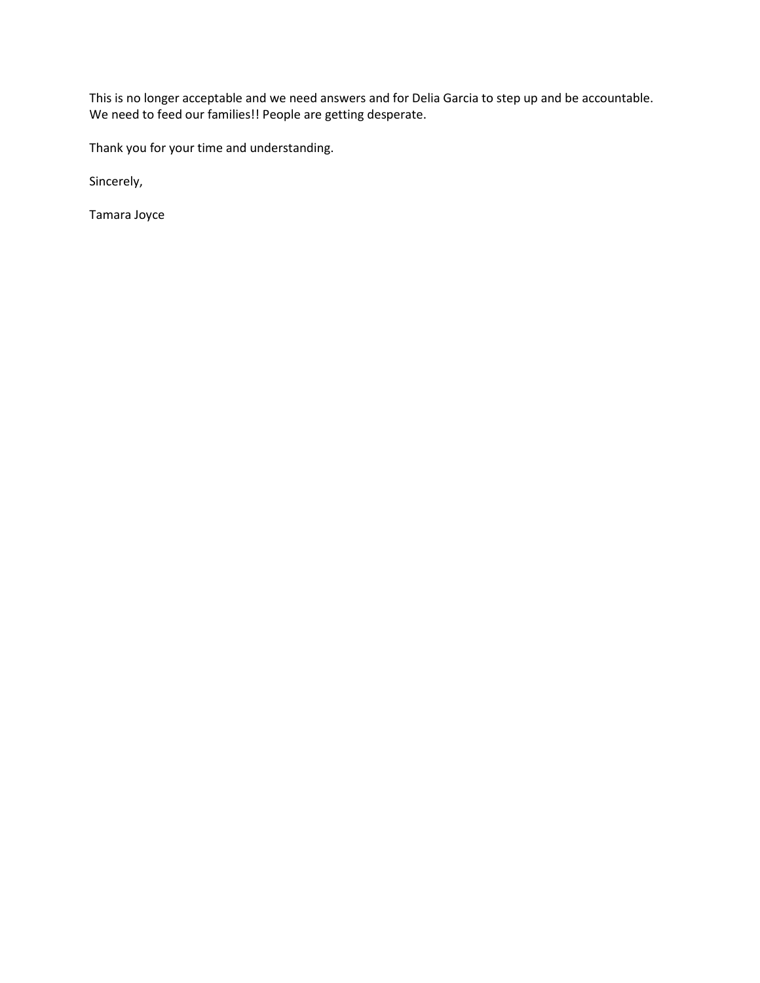This is no longer acceptable and we need answers and for Delia Garcia to step up and be accountable. We need to feed our families!! People are getting desperate.

Thank you for your time and understanding.

Sincerely,

Tamara Joyce